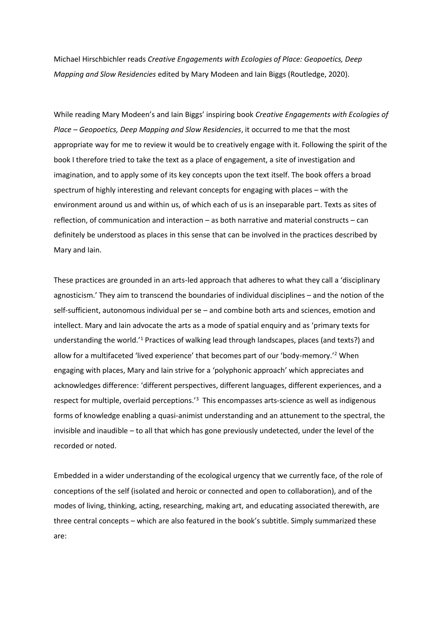Michael Hirschbichler reads *Creative Engagements with Ecologies of Place: Geopoetics, Deep Mapping and Slow Residencies* edited by Mary Modeen and Iain Biggs (Routledge, 2020).

While reading Mary Modeen's and Iain Biggs' inspiring book *Creative Engagements with Ecologies of Place – Geopoetics, Deep Mapping and Slow Residencies*, it occurred to me that the most appropriate way for me to review it would be to creatively engage with it. Following the spirit of the book I therefore tried to take the text as a place of engagement, a site of investigation and imagination, and to apply some of its key concepts upon the text itself. The book offers a broad spectrum of highly interesting and relevant concepts for engaging with places – with the environment around us and within us, of which each of us is an inseparable part. Texts as sites of reflection, of communication and interaction – as both narrative and material constructs – can definitely be understood as places in this sense that can be involved in the practices described by Mary and Iain.

These practices are grounded in an arts-led approach that adheres to what they call a 'disciplinary agnosticism.' They aim to transcend the boundaries of individual disciplines – and the notion of the self-sufficient, autonomous individual per se – and combine both arts and sciences, emotion and intellect. Mary and Iain advocate the arts as a mode of spatial enquiry and as 'primary texts for understanding the world.'<sup>1</sup> Practices of walking lead through landscapes, places (and texts?) and allow for a multifaceted 'lived experience' that becomes part of our 'body-memory.' <sup>2</sup> When engaging with places, Mary and Iain strive for a 'polyphonic approach' which appreciates and acknowledges difference: 'different perspectives, different languages, different experiences, and a respect for multiple, overlaid perceptions.'<sup>3</sup> This encompasses arts-science as well as indigenous forms of knowledge enabling a quasi-animist understanding and an attunement to the spectral, the invisible and inaudible – to all that which has gone previously undetected, under the level of the recorded or noted.

Embedded in a wider understanding of the ecological urgency that we currently face, of the role of conceptions of the self (isolated and heroic or connected and open to collaboration), and of the modes of living, thinking, acting, researching, making art, and educating associated therewith, are three central concepts – which are also featured in the book's subtitle. Simply summarized these are: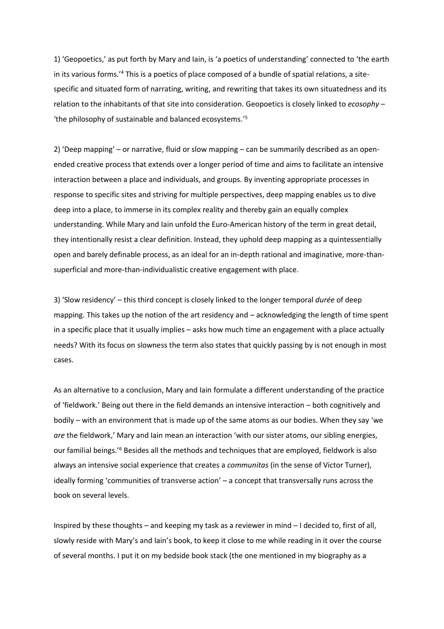1) 'Geopoetics,' as put forth by Mary and Iain, is 'a poetics of understanding' connected to 'the earth in its various forms.'<sup>4</sup> This is a poetics of place composed of a bundle of spatial relations, a sitespecific and situated form of narrating, writing, and rewriting that takes its own situatedness and its relation to the inhabitants of that site into consideration. Geopoetics is closely linked to *ecosophy* – 'the philosophy of sustainable and balanced ecosystems.'<sup>5</sup>

2) 'Deep mapping' – or narrative, fluid or slow mapping – can be summarily described as an openended creative process that extends over a longer period of time and aims to facilitate an intensive interaction between a place and individuals, and groups. By inventing appropriate processes in response to specific sites and striving for multiple perspectives, deep mapping enables us to dive deep into a place, to immerse in its complex reality and thereby gain an equally complex understanding. While Mary and Iain unfold the Euro-American history of the term in great detail, they intentionally resist a clear definition. Instead, they uphold deep mapping as a quintessentially open and barely definable process, as an ideal for an in-depth rational and imaginative, more-thansuperficial and more-than-individualistic creative engagement with place.

3) 'Slow residency' – this third concept is closely linked to the longer temporal *durée* of deep mapping. This takes up the notion of the art residency and – acknowledging the length of time spent in a specific place that it usually implies – asks how much time an engagement with a place actually needs? With its focus on slowness the term also states that quickly passing by is not enough in most cases.

As an alternative to a conclusion, Mary and Iain formulate a different understanding of the practice of 'fieldwork.' Being out there in the field demands an intensive interaction – both cognitively and bodily – with an environment that is made up of the same atoms as our bodies. When they say 'we *are* the fieldwork,' Mary and Iain mean an interaction 'with our sister atoms, our sibling energies, our familial beings.'<sup>6</sup> Besides all the methods and techniques that are employed, fieldwork is also always an intensive social experience that creates a *communitas* (in the sense of Victor Turner), ideally forming 'communities of transverse action' – a concept that transversally runs across the book on several levels.

Inspired by these thoughts – and keeping my task as a reviewer in mind – I decided to, first of all, slowly reside with Mary's and Iain's book, to keep it close to me while reading in it over the course of several months. I put it on my bedside book stack (the one mentioned in my biography as a